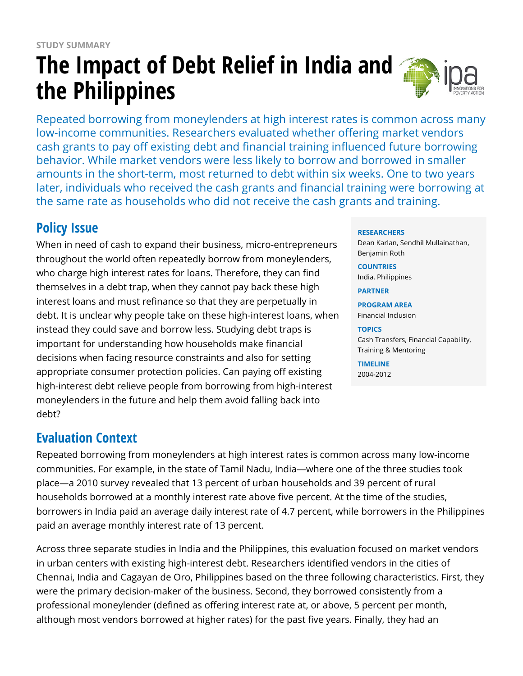# **The Impact of Debt Relief in India and the Philippines**



Repeated borrowing from moneylenders at high interest rates is common across many low-income communities. Researchers evaluated whether offering market vendors cash grants to pay off existing debt and financial training influenced future borrowing behavior. While market vendors were less likely to borrow and borrowed in smaller amounts in the short-term, most returned to debt within six weeks. One to two years later, individuals who received the cash grants and financial training were borrowing at the same rate as households who did not receive the cash grants and training.

# **Policy Issue**

When in need of cash to expand their business, micro-entrepreneurs throughout the world often repeatedly borrow from moneylenders, who charge high interest rates for loans. Therefore, they can find themselves in a debt trap, when they cannot pay back these high interest loans and must refinance so that they are perpetually in debt. It is unclear why people take on these high-interest loans, when instead they could save and borrow less. Studying debt traps is important for understanding how households make financial decisions when facing resource constraints and also for setting appropriate consumer protection policies. Can paying off existing high-interest debt relieve people from borrowing from high-interest moneylenders in the future and help them avoid falling back into debt?

## **Evaluation Context**

Repeated borrowing from moneylenders at high interest rates is common across many low-income communities. For example, in the state of Tamil Nadu, India—where one of the three studies took place—a 2010 survey revealed that 13 percent of urban households and 39 percent of rural households borrowed at a monthly interest rate above five percent. At the time of the studies, borrowers in India paid an average daily interest rate of 4.7 percent, while borrowers in the Philippines paid an average monthly interest rate of 13 percent.

Across three separate studies in India and the Philippines, this evaluation focused on market vendors in urban centers with existing high-interest debt. Researchers identified vendors in the cities of Chennai, India and Cagayan de Oro, Philippines based on the three following characteristics. First, they were the primary decision-maker of the business. Second, they borrowed consistently from a professional moneylender (defined as offering interest rate at, or above, 5 percent per month, although most vendors borrowed at higher rates) for the past five years. Finally, they had an

#### **RESEARCHERS**

Dean Karlan, Sendhil Mullainathan, Benjamin Roth

#### **COUNTRIES** India, Philippines

#### **PARTNER**

**PROGRAM AREA** Financial Inclusion

#### **TOPICS**

Cash Transfers, Financial Capability, Training & Mentoring

#### **TIMELINE**

2004-2012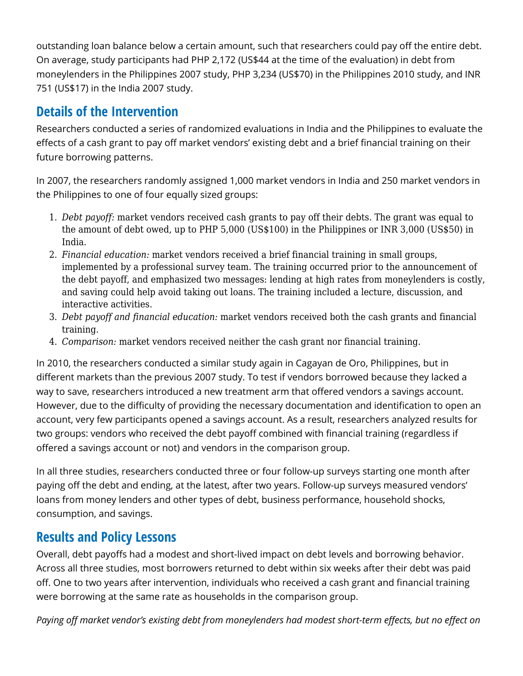outstanding loan balance below a certain amount, such that researchers could pay off the entire debt. On average, study participants had PHP 2,172 (US\$44 at the time of the evaluation) in debt from moneylenders in the Philippines 2007 study, PHP 3,234 (US\$70) in the Philippines 2010 study, and INR 751 (US\$17) in the India 2007 study.

### **Details of the Intervention**

Researchers conducted a series of randomized evaluations in India and the Philippines to evaluate the effects of a cash grant to pay off market vendors' existing debt and a brief financial training on their future borrowing patterns.

In 2007, the researchers randomly assigned 1,000 market vendors in India and 250 market vendors in the Philippines to one of four equally sized groups:

- 1. *Debt payoff:* market vendors received cash grants to pay off their debts. The grant was equal to the amount of debt owed, up to PHP 5,000 (US\$100) in the Philippines or INR 3,000 (US\$50) in India.
- 2. *Financial education:* market vendors received a brief financial training in small groups, implemented by a professional survey team. The training occurred prior to the announcement of the debt payoff, and emphasized two messages: lending at high rates from moneylenders is costly, and saving could help avoid taking out loans. The training included a lecture, discussion, and interactive activities.
- 3. *Debt payoff and financial education:* market vendors received both the cash grants and financial training.
- 4. *Comparison:* market vendors received neither the cash grant nor financial training.

In 2010, the researchers conducted a similar study again in Cagayan de Oro, Philippines, but in different markets than the previous 2007 study. To test if vendors borrowed because they lacked a way to save, researchers introduced a new treatment arm that offered vendors a savings account. However, due to the difficulty of providing the necessary documentation and identification to open an account, very few participants opened a savings account. As a result, researchers analyzed results for two groups: vendors who received the debt payoff combined with financial training (regardless if offered a savings account or not) and vendors in the comparison group.

In all three studies, researchers conducted three or four follow-up surveys starting one month after paying off the debt and ending, at the latest, after two years. Follow-up surveys measured vendors' loans from money lenders and other types of debt, business performance, household shocks, consumption, and savings.

### **Results and Policy Lessons**

Overall, debt payoffs had a modest and short-lived impact on debt levels and borrowing behavior. Across all three studies, most borrowers returned to debt within six weeks after their debt was paid off. One to two years after intervention, individuals who received a cash grant and financial training were borrowing at the same rate as households in the comparison group.

*Paying off market vendor's existing debt from moneylenders had modest short-term effects, but no effect on*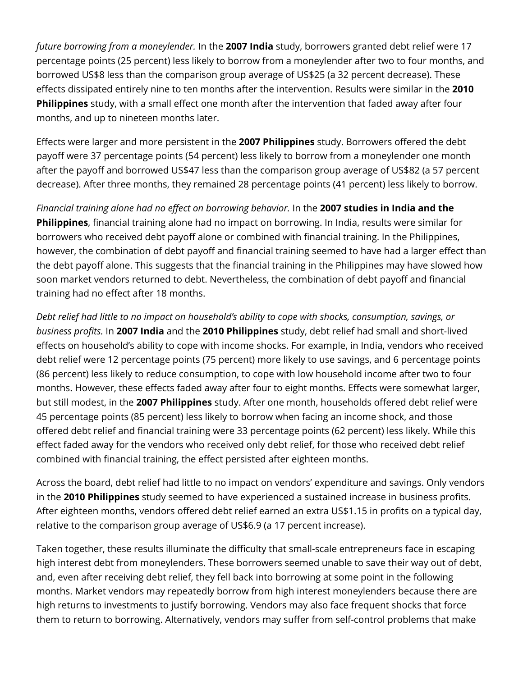*future borrowing from a moneylender.* In the **2007 India** study, borrowers granted debt relief were 17 percentage points (25 percent) less likely to borrow from a moneylender after two to four months, and borrowed US\$8 less than the comparison group average of US\$25 (a 32 percent decrease). These effects dissipated entirely nine to ten months after the intervention. Results were similar in the **2010 Philippines** study, with a small effect one month after the intervention that faded away after four months, and up to nineteen months later.

Effects were larger and more persistent in the **2007 Philippines** study. Borrowers offered the debt payoff were 37 percentage points (54 percent) less likely to borrow from a moneylender one month after the payoff and borrowed US\$47 less than the comparison group average of US\$82 (a 57 percent decrease). After three months, they remained 28 percentage points (41 percent) less likely to borrow.

*Financial training alone had no effect on borrowing behavior.* In the **2007 studies in India and the Philippines**, financial training alone had no impact on borrowing. In India, results were similar for borrowers who received debt payoff alone or combined with financial training. In the Philippines, however, the combination of debt payoff and financial training seemed to have had a larger effect than the debt payoff alone. This suggests that the financial training in the Philippines may have slowed how soon market vendors returned to debt. Nevertheless, the combination of debt payoff and financial training had no effect after 18 months.

*Debt relief had little to no impact on household's ability to cope with shocks, consumption, savings, or business profits.* In **2007 India** and the **2010 Philippines** study, debt relief had small and short-lived effects on household's ability to cope with income shocks. For example, in India, vendors who received debt relief were 12 percentage points (75 percent) more likely to use savings, and 6 percentage points (86 percent) less likely to reduce consumption, to cope with low household income after two to four months. However, these effects faded away after four to eight months. Effects were somewhat larger, but still modest, in the **2007 Philippines** study. After one month, households offered debt relief were 45 percentage points (85 percent) less likely to borrow when facing an income shock, and those offered debt relief and financial training were 33 percentage points (62 percent) less likely. While this effect faded away for the vendors who received only debt relief, for those who received debt relief combined with financial training, the effect persisted after eighteen months.

Across the board, debt relief had little to no impact on vendors' expenditure and savings. Only vendors in the **2010 Philippines** study seemed to have experienced a sustained increase in business profits. After eighteen months, vendors offered debt relief earned an extra US\$1.15 in profits on a typical day, relative to the comparison group average of US\$6.9 (a 17 percent increase).

Taken together, these results illuminate the difficulty that small-scale entrepreneurs face in escaping high interest debt from moneylenders. These borrowers seemed unable to save their way out of debt, and, even after receiving debt relief, they fell back into borrowing at some point in the following months. Market vendors may repeatedly borrow from high interest moneylenders because there are high returns to investments to justify borrowing. Vendors may also face frequent shocks that force them to return to borrowing. Alternatively, vendors may suffer from self-control problems that make